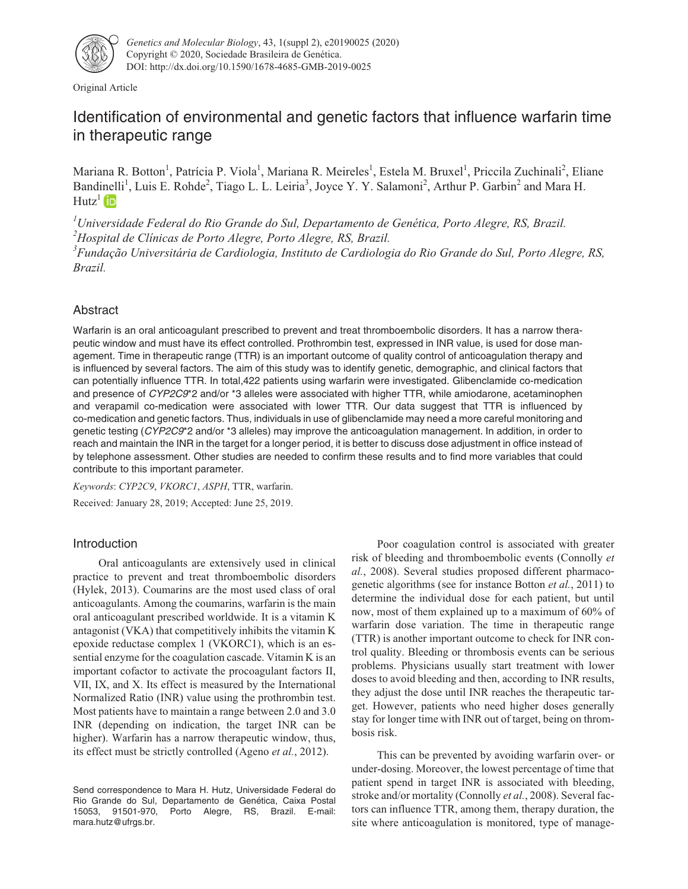

Original Article

# Identification of environmental and genetic factors that influence warfarin time in therapeutic range

Mariana R. Botton<sup>1</sup>, Patrícia P. Viola<sup>1</sup>, Mariana R. Meireles<sup>1</sup>, Estela M. Bruxel<sup>1</sup>, Priccila Zuchinali<sup>2</sup>, Eliane Bandinelli<sup>1</sup>, Luis E. Rohde<sup>2</sup>, Tiago L. L. Leiria<sup>3</sup>, Joyce Y. Y. Salamoni<sup>2</sup>, Arthur P. Garbin<sup>2</sup> and Mara H.  $Hutz<sup>1</sup>$  (iD)

*1 Universidade Federal do Rio Grande do Sul, Departamento de Genética, Porto Alegre, RS, Brazil. 2 Hospital de Clínicas de Porto Alegre, Porto Alegre, RS, Brazil. 3 Fundação Universitária de Cardiologia, Instituto de Cardiologia do Rio Grande do Sul, Porto Alegre, RS,*

*Brazil.*

# Abstract

Warfarin is an oral anticoagulant prescribed to prevent and treat thromboembolic disorders. It has a narrow therapeutic window and must have its effect controlled. Prothrombin test, expressed in INR value, is used for dose management. Time in therapeutic range (TTR) is an important outcome of quality control of anticoagulation therapy and is influenced by several factors. The aim of this study was to identify genetic, demographic, and clinical factors that can potentially influence TTR. In total,422 patients using warfarin were investigated. Glibenclamide co-medication and presence of CYP2C9\*2 and/or \*3 alleles were associated with higher TTR, while amiodarone, acetaminophen and verapamil co-medication were associated with lower TTR. Our data suggest that TTR is influenced by co-medication and genetic factors. Thus, individuals in use of glibenclamide may need a more careful monitoring and genetic testing (CYP2C9\*2 and/or \*3 alleles) may improve the anticoagulation management. In addition, in order to reach and maintain the INR in the target for a longer period, it is better to discuss dose adjustment in office instead of by telephone assessment. Other studies are needed to confirm these results and to find more variables that could contribute to this important parameter.

*Keywords*: *CYP2C9*, *VKORC1*, *ASPH*, TTR, warfarin. Received: January 28, 2019; Accepted: June 25, 2019.

## Introduction

Oral anticoagulants are extensively used in clinical practice to prevent and treat thromboembolic disorders (Hylek, 2013). Coumarins are the most used class of oral anticoagulants. Among the coumarins, warfarin is the main oral anticoagulant prescribed worldwide. It is a vitamin K antagonist (VKA) that competitively inhibits the vitamin K epoxide reductase complex 1 (VKORC1), which is an essential enzyme for the coagulation cascade. Vitamin K is an important cofactor to activate the procoagulant factors II, VII, IX, and X. Its effect is measured by the International Normalized Ratio (INR) value using the prothrombin test. Most patients have to maintain a range between 2.0 and 3.0 INR (depending on indication, the target INR can be higher). Warfarin has a narrow therapeutic window, thus, its effect must be strictly controlled (Ageno *et al.*, 2012).

Poor coagulation control is associated with greater risk of bleeding and thromboembolic events (Connolly *et al.*, 2008). Several studies proposed different pharmacogenetic algorithms (see for instance Botton *et al.*, 2011) to determine the individual dose for each patient, but until now, most of them explained up to a maximum of 60% of warfarin dose variation. The time in therapeutic range (TTR) is another important outcome to check for INR control quality. Bleeding or thrombosis events can be serious problems. Physicians usually start treatment with lower doses to avoid bleeding and then, according to INR results, they adjust the dose until INR reaches the therapeutic target. However, patients who need higher doses generally stay for longer time with INR out of target, being on thrombosis risk.

This can be prevented by avoiding warfarin over- or under-dosing. Moreover, the lowest percentage of time that patient spend in target INR is associated with bleeding, stroke and/or mortality (Connolly *et al.*, 2008). Several factors can influence TTR, among them, therapy duration, the site where anticoagulation is monitored, type of manage-

Send correspondence to Mara H. Hutz, Universidade Federal do Rio Grande do Sul, Departamento de Genética, Caixa Postal 15053, 91501-970, Porto Alegre, RS, Brazil. E-mail: mara.hutz@ufrgs.br.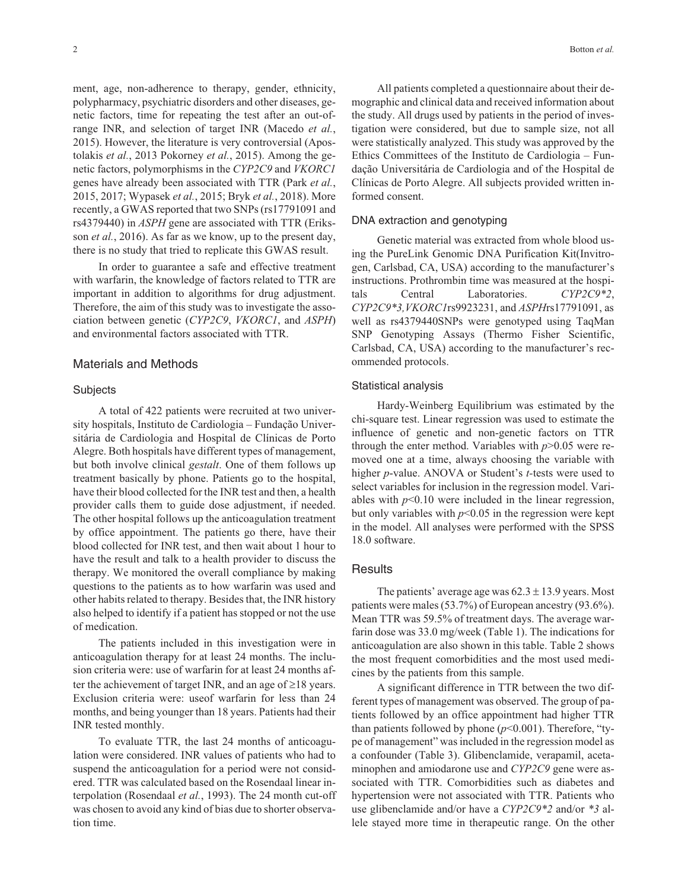ment, age, non-adherence to therapy, gender, ethnicity, polypharmacy, psychiatric disorders and other diseases, genetic factors, time for repeating the test after an out-ofrange INR, and selection of target INR (Macedo *et al.*, 2015). However, the literature is very controversial (Apostolakis *et al.*, 2013 Pokorney *et al.*, 2015). Among the genetic factors, polymorphisms in the *CYP2C9* and *VKORC1* genes have already been associated with TTR (Park *et al.*, 2015, 2017; Wypasek *et al.*, 2015; Bryk *et al.*, 2018). More recently, a GWAS reported that two SNPs (rs17791091 and rs4379440) in *ASPH* gene are associated with TTR (Eriksson *et al.*, 2016). As far as we know, up to the present day, there is no study that tried to replicate this GWAS result.

In order to guarantee a safe and effective treatment with warfarin, the knowledge of factors related to TTR are important in addition to algorithms for drug adjustment. Therefore, the aim of this study was to investigate the association between genetic (*CYP2C9*, *VKORC1*, and *ASPH*) and environmental factors associated with TTR.

### Materials and Methods

#### **Subjects**

A total of 422 patients were recruited at two university hospitals, Instituto de Cardiologia – Fundação Universitária de Cardiologia and Hospital de Clínicas de Porto Alegre. Both hospitals have different types of management, but both involve clinical *gestalt*. One of them follows up treatment basically by phone. Patients go to the hospital, have their blood collected for the INR test and then, a health provider calls them to guide dose adjustment, if needed. The other hospital follows up the anticoagulation treatment by office appointment. The patients go there, have their blood collected for INR test, and then wait about 1 hour to have the result and talk to a health provider to discuss the therapy. We monitored the overall compliance by making questions to the patients as to how warfarin was used and other habits related to therapy. Besides that, the INR history also helped to identify if a patient has stopped or not the use of medication.

The patients included in this investigation were in anticoagulation therapy for at least 24 months. The inclusion criteria were: use of warfarin for at least 24 months after the achievement of target INR, and an age of  $\geq$  18 years. Exclusion criteria were: useof warfarin for less than 24 months, and being younger than 18 years. Patients had their INR tested monthly.

To evaluate TTR, the last 24 months of anticoagulation were considered. INR values of patients who had to suspend the anticoagulation for a period were not considered. TTR was calculated based on the Rosendaal linear interpolation (Rosendaal *et al.*, 1993). The 24 month cut-off was chosen to avoid any kind of bias due to shorter observation time.

All patients completed a questionnaire about their demographic and clinical data and received information about the study. All drugs used by patients in the period of investigation were considered, but due to sample size, not all were statistically analyzed. This study was approved by the Ethics Committees of the Instituto de Cardiologia – Fundação Universitária de Cardiologia and of the Hospital de Clínicas de Porto Alegre. All subjects provided written informed consent.

#### DNA extraction and genotyping

Genetic material was extracted from whole blood using the PureLink Genomic DNA Purification Kit(Invitrogen, Carlsbad, CA, USA) according to the manufacturer's instructions. Prothrombin time was measured at the hospitals Central Laboratories. *CYP2C9\*2*, *CYP2C9\*3,VKORC1*rs9923231, and *ASPH*rs17791091, as well as rs4379440SNPs were genotyped using TaqMan SNP Genotyping Assays (Thermo Fisher Scientific, Carlsbad, CA, USA) according to the manufacturer's recommended protocols.

#### Statistical analysis

Hardy-Weinberg Equilibrium was estimated by the chi-square test. Linear regression was used to estimate the influence of genetic and non-genetic factors on TTR through the enter method. Variables with  $p > 0.05$  were removed one at a time, always choosing the variable with higher *p*-value. ANOVA or Student's *t-*tests were used to select variables for inclusion in the regression model. Variables with  $p<0.10$  were included in the linear regression, but only variables with  $p<0.05$  in the regression were kept in the model. All analyses were performed with the SPSS 18.0 software.

#### **Results**

The patients' average age was  $62.3 \pm 13.9$  years. Most patients were males (53.7%) of European ancestry (93.6%). Mean TTR was 59.5% of treatment days. The average warfarin dose was 33.0 mg/week (Table 1). The indications for anticoagulation are also shown in this table. Table 2 shows the most frequent comorbidities and the most used medicines by the patients from this sample.

A significant difference in TTR between the two different types of management was observed. The group of patients followed by an office appointment had higher TTR than patients followed by phone (*p*<0.001). Therefore, "type of management" was included in the regression model as a confounder (Table 3). Glibenclamide, verapamil, acetaminophen and amiodarone use and *CYP2C9* gene were associated with TTR. Comorbidities such as diabetes and hypertension were not associated with TTR. Patients who use glibenclamide and/or have a *CYP2C9\*2* and/or *\*3* allele stayed more time in therapeutic range. On the other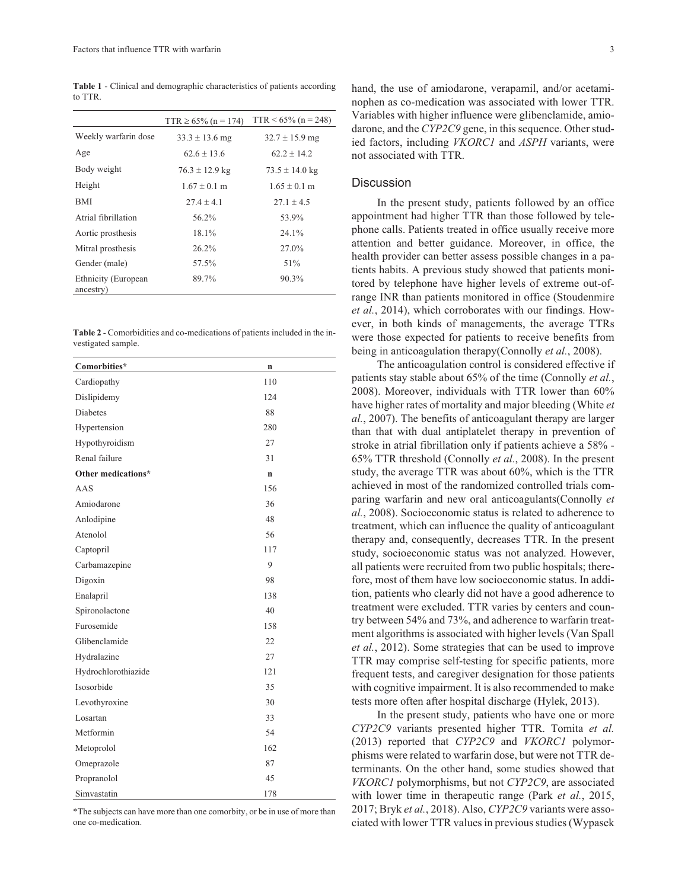**Table 1** - Clinical and demographic characteristics of patients according to TTR.

|                                  | $TTR \ge 65\%$ (n = 174) | $TTR < 65\%$ (n = 248) |
|----------------------------------|--------------------------|------------------------|
| Weekly warfarin dose             | $33.3 \pm 13.6$ mg       | $32.7 \pm 15.9$ mg     |
| Age                              | $62.6 + 13.6$            | $62.2 + 14.2$          |
| Body weight                      | $76.3 \pm 12.9$ kg       | $73.5 \pm 14.0$ kg     |
| Height                           | $1.67 \pm 0.1$ m         | $1.65 \pm 0.1$ m       |
| BMI                              | $27.4 + 4.1$             | $27.1 + 4.5$           |
| Atrial fibrillation              | 56.2%                    | 53.9%                  |
| Aortic prosthesis                | 18.1%                    | $24.1\%$               |
| Mitral prosthesis                | $26.2\%$                 | 27.0%                  |
| Gender (male)                    | 57.5%                    | 51%                    |
| Ethnicity (European<br>ancestry) | 89.7%                    | 90.3%                  |

**Table 2** - Comorbidities and co-medications of patients included in the investigated sample.

| Comorbities*        | n           |
|---------------------|-------------|
| Cardiopathy         | 110         |
| Dislipidemy         | 124         |
| <b>Diabetes</b>     | 88          |
| Hypertension        | 280         |
| Hypothyroidism      | 27          |
| Renal failure       | 31          |
| Other medications*  | $\mathbf n$ |
| AAS                 | 156         |
| Amiodarone          | 36          |
| Anlodipine          | 48          |
| Atenolol            | 56          |
| Captopril           | 117         |
| Carbamazepine       | 9           |
| Digoxin             | 98          |
| Enalapril           | 138         |
| Spironolactone      | 40          |
| Furosemide          | 158         |
| Glibenclamide       | 22          |
| Hydralazine         | 27          |
| Hydrochlorothiazide | 121         |
| Isosorbide          | 35          |
| Levothyroxine       | 30          |
| Losartan            | 33          |
| Metformin           | 54          |
| Metoprolol          | 162         |
| Omeprazole          | 87          |
| Propranolol         | 45          |
| Simvastatin         | 178         |

\*The subjects can have more than one comorbity, or be in use of more than one co-medication.

hand, the use of amiodarone, verapamil, and/or acetaminophen as co-medication was associated with lower TTR. Variables with higher influence were glibenclamide, amiodarone, and the *CYP2C9* gene, in this sequence. Other studied factors, including *VKORC1* and *ASPH* variants, were not associated with TTR.

#### **Discussion**

In the present study, patients followed by an office appointment had higher TTR than those followed by telephone calls. Patients treated in office usually receive more attention and better guidance. Moreover, in office, the health provider can better assess possible changes in a patients habits. A previous study showed that patients monitored by telephone have higher levels of extreme out-ofrange INR than patients monitored in office (Stoudenmire *et al.*, 2014), which corroborates with our findings. However, in both kinds of managements, the average TTRs were those expected for patients to receive benefits from being in anticoagulation therapy(Connolly *et al.*, 2008).

The anticoagulation control is considered effective if patients stay stable about 65% of the time (Connolly *et al.*, 2008). Moreover, individuals with TTR lower than 60% have higher rates of mortality and major bleeding (White *et al.*, 2007). The benefits of anticoagulant therapy are larger than that with dual antiplatelet therapy in prevention of stroke in atrial fibrillation only if patients achieve a 58% - 65% TTR threshold (Connolly *et al.*, 2008). In the present study, the average TTR was about 60%, which is the TTR achieved in most of the randomized controlled trials comparing warfarin and new oral anticoagulants(Connolly *et al.*, 2008). Socioeconomic status is related to adherence to treatment, which can influence the quality of anticoagulant therapy and, consequently, decreases TTR. In the present study, socioeconomic status was not analyzed. However, all patients were recruited from two public hospitals; therefore, most of them have low socioeconomic status. In addition, patients who clearly did not have a good adherence to treatment were excluded. TTR varies by centers and country between 54% and 73%, and adherence to warfarin treatment algorithms is associated with higher levels (Van Spall *et al.*, 2012). Some strategies that can be used to improve TTR may comprise self-testing for specific patients, more frequent tests, and caregiver designation for those patients with cognitive impairment. It is also recommended to make tests more often after hospital discharge (Hylek, 2013).

In the present study, patients who have one or more *CYP2C9* variants presented higher TTR. Tomita *et al.* (2013) reported that *CYP2C9* and *VKORC1* polymorphisms were related to warfarin dose, but were not TTR determinants. On the other hand, some studies showed that *VKORC1* polymorphisms, but not *CYP2C9*, are associated with lower time in therapeutic range (Park *et al.*, 2015, 2017; Bryk *et al.*, 2018). Also, *CYP2C9* variants were associated with lower TTR values in previous studies (Wypasek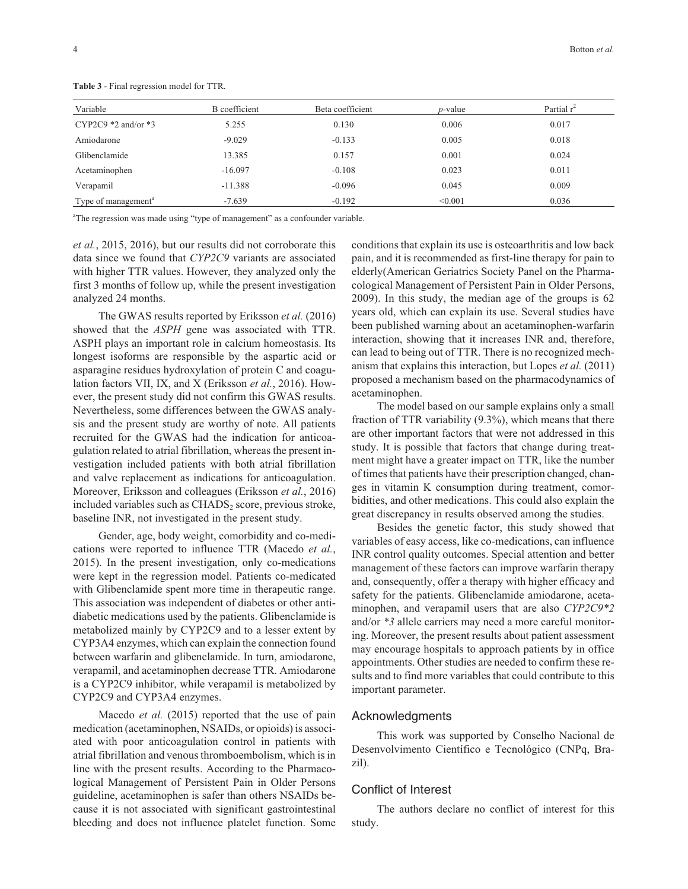| Variable                        | B coefficient | Beta coefficient | $p$ -value | Partial $r^2$ |
|---------------------------------|---------------|------------------|------------|---------------|
| CYP2C9 $*2$ and/or $*3$         | 5.255         | 0.130            | 0.006      | 0.017         |
| Amiodarone                      | $-9.029$      | $-0.133$         | 0.005      | 0.018         |
| Glibenclamide                   | 13.385        | 0.157            | 0.001      | 0.024         |
| Acetaminophen                   | $-16.097$     | $-0.108$         | 0.023      | 0.011         |
| Verapamil                       | $-11.388$     | $-0.096$         | 0.045      | 0.009         |
| Type of management <sup>a</sup> | $-7.639$      | $-0.192$         | < 0.001    | 0.036         |

**Table 3** - Final regression model for TTR.

<sup>a</sup>The regression was made using "type of management" as a confounder variable.

*et al.*, 2015, 2016), but our results did not corroborate this data since we found that *CYP2C9* variants are associated with higher TTR values. However, they analyzed only the first 3 months of follow up, while the present investigation analyzed 24 months.

The GWAS results reported by Eriksson *et al.* (2016) showed that the *ASPH* gene was associated with TTR. ASPH plays an important role in calcium homeostasis. Its longest isoforms are responsible by the aspartic acid or asparagine residues hydroxylation of protein C and coagulation factors VII, IX, and X (Eriksson *et al.*, 2016). However, the present study did not confirm this GWAS results. Nevertheless, some differences between the GWAS analysis and the present study are worthy of note. All patients recruited for the GWAS had the indication for anticoagulation related to atrial fibrillation, whereas the present investigation included patients with both atrial fibrillation and valve replacement as indications for anticoagulation. Moreover, Eriksson and colleagues (Eriksson *et al.*, 2016) included variables such as  $CHADS<sub>2</sub>$  score, previous stroke, baseline INR, not investigated in the present study.

Gender, age, body weight, comorbidity and co-medications were reported to influence TTR (Macedo *et al.*, 2015). In the present investigation, only co-medications were kept in the regression model. Patients co-medicated with Glibenclamide spent more time in therapeutic range. This association was independent of diabetes or other antidiabetic medications used by the patients. Glibenclamide is metabolized mainly by CYP2C9 and to a lesser extent by CYP3A4 enzymes, which can explain the connection found between warfarin and glibenclamide. In turn, amiodarone, verapamil, and acetaminophen decrease TTR. Amiodarone is a CYP2C9 inhibitor, while verapamil is metabolized by CYP2C9 and CYP3A4 enzymes.

Macedo *et al.* (2015) reported that the use of pain medication (acetaminophen, NSAIDs, or opioids) is associated with poor anticoagulation control in patients with atrial fibrillation and venous thromboembolism, which is in line with the present results. According to the Pharmacological Management of Persistent Pain in Older Persons guideline, acetaminophen is safer than others NSAIDs because it is not associated with significant gastrointestinal bleeding and does not influence platelet function. Some

conditions that explain its use is osteoarthritis and low back pain, and it is recommended as first-line therapy for pain to elderly(American Geriatrics Society Panel on the Pharmacological Management of Persistent Pain in Older Persons, 2009). In this study, the median age of the groups is 62 years old, which can explain its use. Several studies have been published warning about an acetaminophen-warfarin interaction, showing that it increases INR and, therefore, can lead to being out of TTR. There is no recognized mechanism that explains this interaction, but Lopes *et al.* (2011) proposed a mechanism based on the pharmacodynamics of acetaminophen.

The model based on our sample explains only a small fraction of TTR variability (9.3%), which means that there are other important factors that were not addressed in this study. It is possible that factors that change during treatment might have a greater impact on TTR, like the number of times that patients have their prescription changed, changes in vitamin K consumption during treatment, comorbidities, and other medications. This could also explain the great discrepancy in results observed among the studies.

Besides the genetic factor, this study showed that variables of easy access, like co-medications, can influence INR control quality outcomes. Special attention and better management of these factors can improve warfarin therapy and, consequently, offer a therapy with higher efficacy and safety for the patients. Glibenclamide amiodarone, acetaminophen, and verapamil users that are also *CYP2C9\*2* and/or *\*3* allele carriers may need a more careful monitoring. Moreover, the present results about patient assessment may encourage hospitals to approach patients by in office appointments. Other studies are needed to confirm these results and to find more variables that could contribute to this important parameter.

#### Acknowledgments

This work was supported by Conselho Nacional de Desenvolvimento Científico e Tecnológico (CNPq, Brazil).

# Conflict of Interest

The authors declare no conflict of interest for this study.